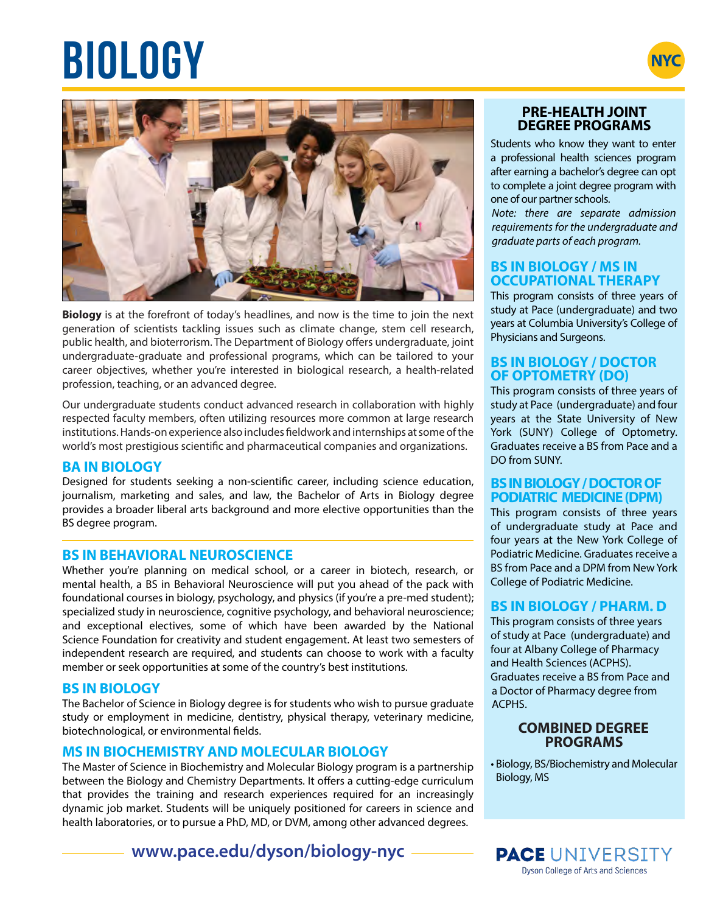# **BIOLOGY NYC**





**Biology** is at the forefront of today's headlines, and now is the time to join the next generation of scientists tackling issues such as climate change, stem cell research, public health, and bioterrorism. The Department of Biology offers undergraduate, joint undergraduate-graduate and professional programs, which can be tailored to your career objectives, whether you're interested in biological research, a health-related profession, teaching, or an advanced degree.

Our undergraduate students conduct advanced research in collaboration with highly respected faculty members, often utilizing resources more common at large research institutions. Hands-on experience also includes fieldwork and internships at some of the world's most prestigious scientific and pharmaceutical companies and organizations.

# **BA IN BIOLOGY**

Designed for students seeking a non-scientific career, including science education, journalism, marketing and sales, and law, the Bachelor of Arts in Biology degree provides a broader liberal arts background and more elective opportunities than the BS degree program.

# **BS IN BEHAVIORAL NEUROSCIENCE**

Whether you're planning on medical school, or a career in biotech, research, or mental health, a BS in Behavioral Neuroscience will put you ahead of the pack with foundational courses in biology, psychology, and physics (if you're a pre-med student); specialized study in neuroscience, cognitive psychology, and behavioral neuroscience; and exceptional electives, some of which have been awarded by the National Science Foundation for creativity and student engagement. At least two semesters of independent research are required, and students can choose to work with a faculty member or seek opportunities at some of the country's best institutions.

# **BS IN BIOLOGY**

The Bachelor of Science in Biology degree is for students who wish to pursue graduate study or employment in medicine, dentistry, physical therapy, veterinary medicine, biotechnological, or environmental fields.

# **MS IN BIOCHEMISTRY AND MOLECULAR BIOLOGY**

The Master of Science in Biochemistry and Molecular Biology program is a partnership between the Biology and Chemistry Departments. It offers a cutting-edge curriculum that provides the training and research experiences required for an increasingly dynamic job market. Students will be uniquely positioned for careers in science and health laboratories, or to pursue a PhD, MD, or DVM, among other advanced degrees.

**www.pace.edu/dyson/biology-nyc**

# **PRE-HEALTH JOINT DEGREE PROGRAMS**

Students who know they want to enter a professional health sciences program after earning a bachelor's degree can opt to complete a joint degree program with one of our partner schools.

*Note: there are separate admission requirements for the undergraduate and graduate parts of each program.*

#### **BS IN BIOLOGY / MS IN OCCUPATIONAL THERAPY**

This program consists of three years of study at Pace (undergraduate) and two years at Columbia University's College of Physicians and Surgeons.

# **BS IN BIOLOGY / DOCTOR OF OPTOMETRY (DO)**

This program consists of three years of study at Pace (undergraduate) and four years at the State University of New York (SUNY) College of Optometry. Graduates receive a BS from Pace and a DO from SUNY.

#### **BS IN BIOLOGY / DOCTOR OF PODIATRIC MEDICINE (DPM)**

This program consists of three years of undergraduate study at Pace and four years at the New York College of Podiatric Medicine. Graduates receive a BS from Pace and a DPM from New York College of Podiatric Medicine.

# **BS IN BIOLOGY / PHARM. D**

This program consists of three years of study at Pace (undergraduate) and four at Albany College of Pharmacy and Health Sciences (ACPHS). Graduates receive a BS from Pace and a Doctor of Pharmacy degree from ACPHS.

#### **COMBINED DEGREE PROGRAMS**

• Biology, BS/Biochemistry and Molecular Biology, MS